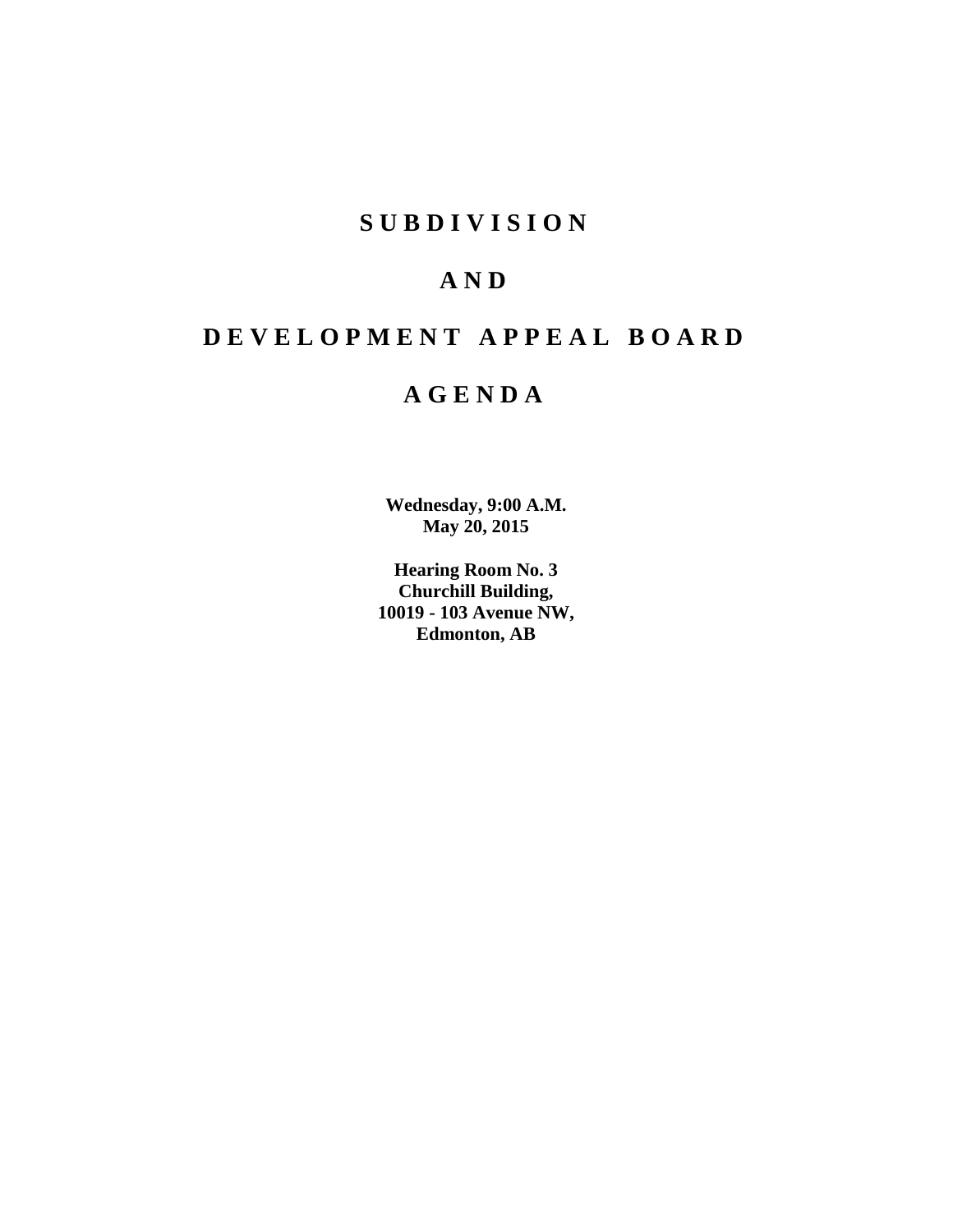# **SUBDIVISION**

# **AND**

# **DEVELOPMENT APPEAL BOARD**

# **AGENDA**

**Wednesday, 9:00 A.M. May 20, 2015**

**Hearing Room No. 3 Churchill Building, 10019 - 103 Avenue NW, Edmonton, AB**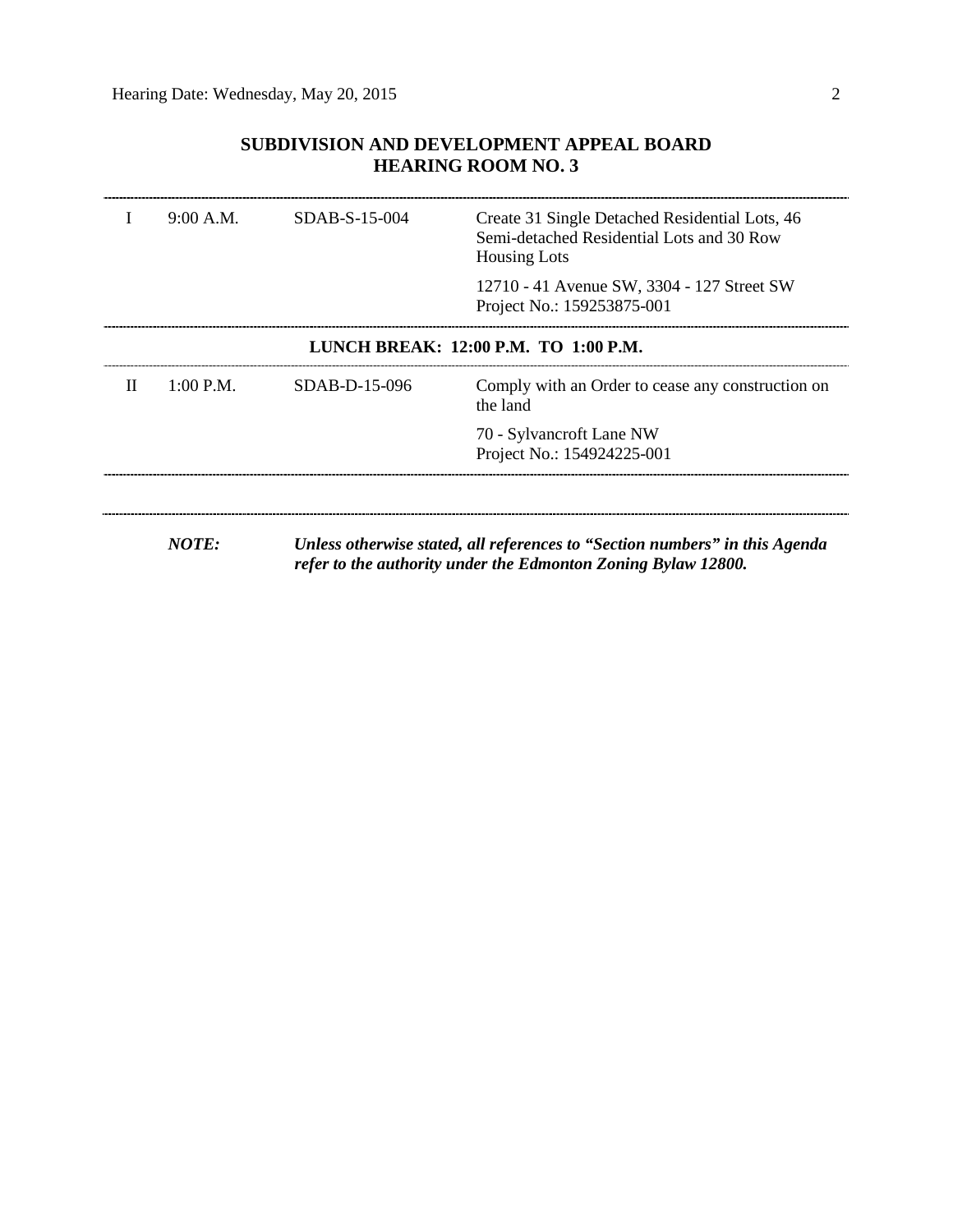## **SUBDIVISION AND DEVELOPMENT APPEAL BOARD HEARING ROOM NO. 3**

|                                      | 9:00 A.M. | SDAB-S-15-004   | Create 31 Single Detached Residential Lots, 46<br>Semi-detached Residential Lots and 30 Row<br><b>Housing Lots</b> |  |
|--------------------------------------|-----------|-----------------|--------------------------------------------------------------------------------------------------------------------|--|
|                                      |           |                 | 12710 - 41 Avenue SW, 3304 - 127 Street SW<br>Project No.: 159253875-001                                           |  |
| LUNCH BREAK: 12:00 P.M. TO 1:00 P.M. |           |                 |                                                                                                                    |  |
| П                                    | 1:00 P.M. | $SDAB-D-15-096$ | Comply with an Order to cease any construction on<br>the land                                                      |  |
|                                      |           |                 | 70 - Sylvancroft Lane NW                                                                                           |  |
|                                      |           |                 | Project No.: 154924225-001                                                                                         |  |
|                                      |           |                 |                                                                                                                    |  |
|                                      |           |                 |                                                                                                                    |  |

*NOTE: Unless otherwise stated, all references to "Section numbers" in this Agenda refer to the authority under the Edmonton Zoning Bylaw 12800.*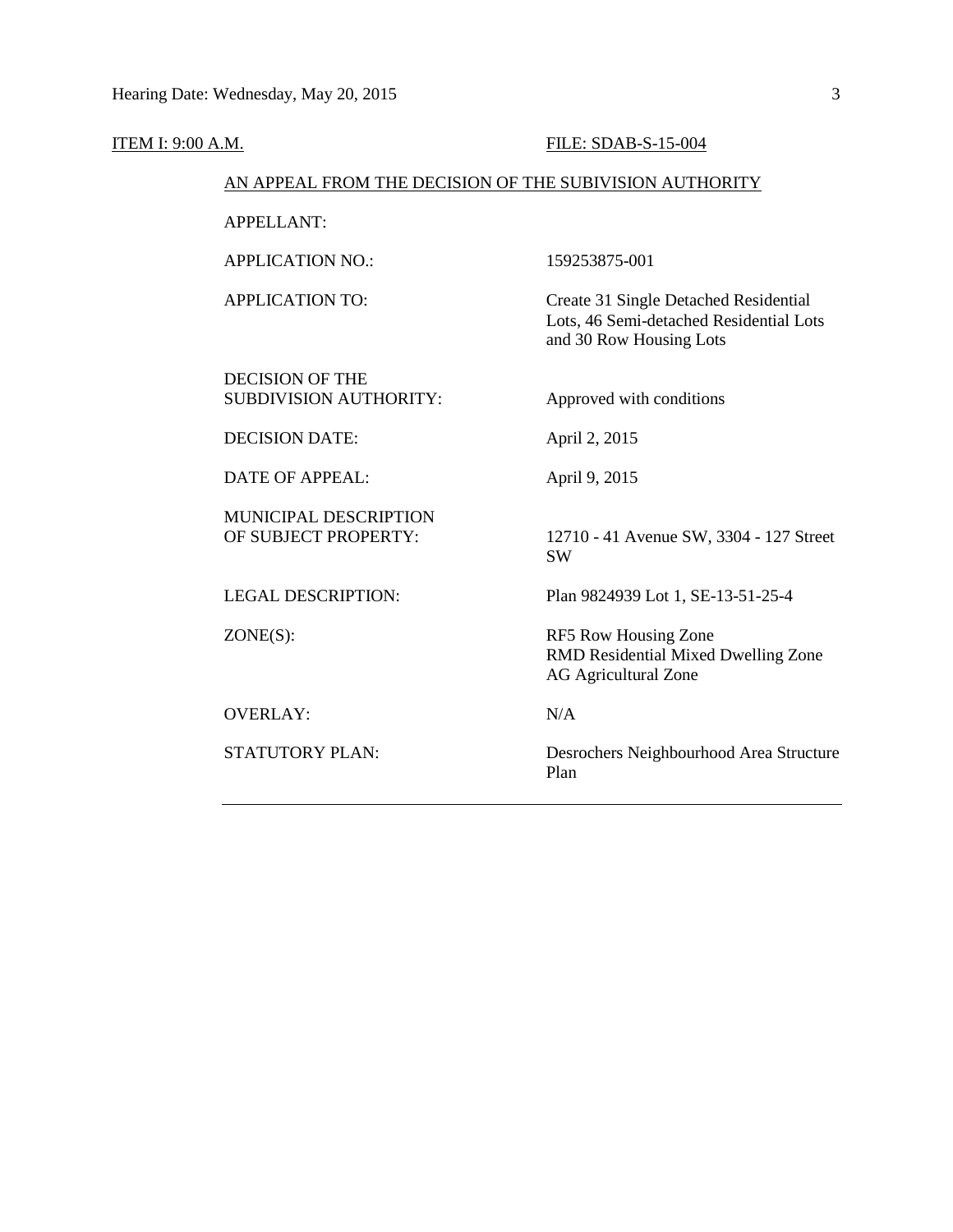| <b>ITEM I: 9:00 A.M.</b>                                | FILE: SDAB-S-15-004                                                                                         |  |  |  |  |
|---------------------------------------------------------|-------------------------------------------------------------------------------------------------------------|--|--|--|--|
|                                                         | AN APPEAL FROM THE DECISION OF THE SUBIVISION AUTHORITY                                                     |  |  |  |  |
| <b>APPELLANT:</b>                                       |                                                                                                             |  |  |  |  |
| <b>APPLICATION NO.:</b>                                 | 159253875-001                                                                                               |  |  |  |  |
| <b>APPLICATION TO:</b>                                  | Create 31 Single Detached Residential<br>Lots, 46 Semi-detached Residential Lots<br>and 30 Row Housing Lots |  |  |  |  |
| <b>DECISION OF THE</b><br><b>SUBDIVISION AUTHORITY:</b> | Approved with conditions                                                                                    |  |  |  |  |
| <b>DECISION DATE:</b>                                   | April 2, 2015                                                                                               |  |  |  |  |
| <b>DATE OF APPEAL:</b>                                  | April 9, 2015                                                                                               |  |  |  |  |
| <b>MUNICIPAL DESCRIPTION</b><br>OF SUBJECT PROPERTY:    | 12710 - 41 Avenue SW, 3304 - 127 Street<br><b>SW</b>                                                        |  |  |  |  |
| <b>LEGAL DESCRIPTION:</b>                               | Plan 9824939 Lot 1, SE-13-51-25-4                                                                           |  |  |  |  |
| $ZONE(S)$ :                                             | RF5 Row Housing Zone<br>RMD Residential Mixed Dwelling Zone<br><b>AG Agricultural Zone</b>                  |  |  |  |  |
| <b>OVERLAY:</b>                                         | N/A                                                                                                         |  |  |  |  |
| <b>STATUTORY PLAN:</b>                                  | Desrochers Neighbourhood Area Structure<br>Plan                                                             |  |  |  |  |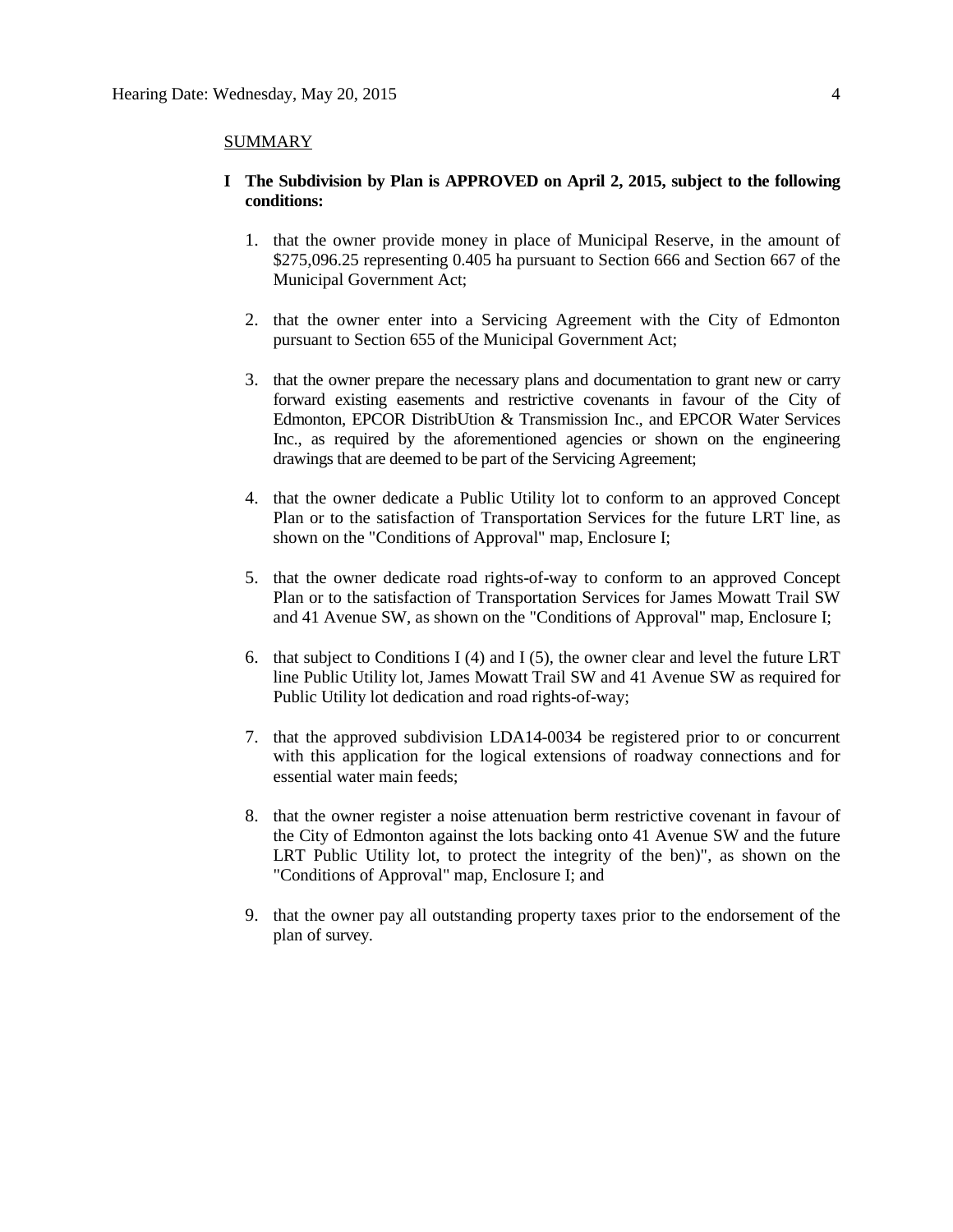#### SUMMARY

- **I The Subdivision by Plan is APPROVED on April 2, 2015, subject to the following conditions:**
	- 1. that the owner provide money in place of Municipal Reserve, in the amount of \$275,096.25 representing 0.405 ha pursuant to Section 666 and Section 667 of the Municipal Government Act;
	- 2. that the owner enter into a Servicing Agreement with the City of Edmonton pursuant to Section 655 of the Municipal Government Act;
	- 3. that the owner prepare the necessary plans and documentation to grant new or carry forward existing easements and restrictive covenants in favour of the City of Edmonton, EPCOR DistribUtion & Transmission Inc., and EPCOR Water Services Inc., as required by the aforementioned agencies or shown on the engineering drawings that are deemed to be part of the Servicing Agreement;
	- 4. that the owner dedicate a Public Utility lot to conform to an approved Concept Plan or to the satisfaction of Transportation Services for the future LRT line, as shown on the "Conditions of Approval" map, Enclosure I;
	- 5. that the owner dedicate road rights-of-way to conform to an approved Concept Plan or to the satisfaction of Transportation Services for James Mowatt Trail SW and 41 Avenue SW, as shown on the "Conditions of Approval" map, Enclosure I;
	- 6. that subject to Conditions I (4) and I (5), the owner clear and level the future LRT line Public Utility lot, James Mowatt Trail SW and 41 Avenue SW as required for Public Utility lot dedication and road rights-of-way;
	- 7. that the approved subdivision LDA14-0034 be registered prior to or concurrent with this application for the logical extensions of roadway connections and for essential water main feeds;
	- 8. that the owner register a noise attenuation berm restrictive covenant in favour of the City of Edmonton against the lots backing onto 41 Avenue SW and the future LRT Public Utility lot, to protect the integrity of the ben)", as shown on the "Conditions of Approval" map, Enclosure I; and
	- 9. that the owner pay all outstanding property taxes prior to the endorsement of the plan of survey.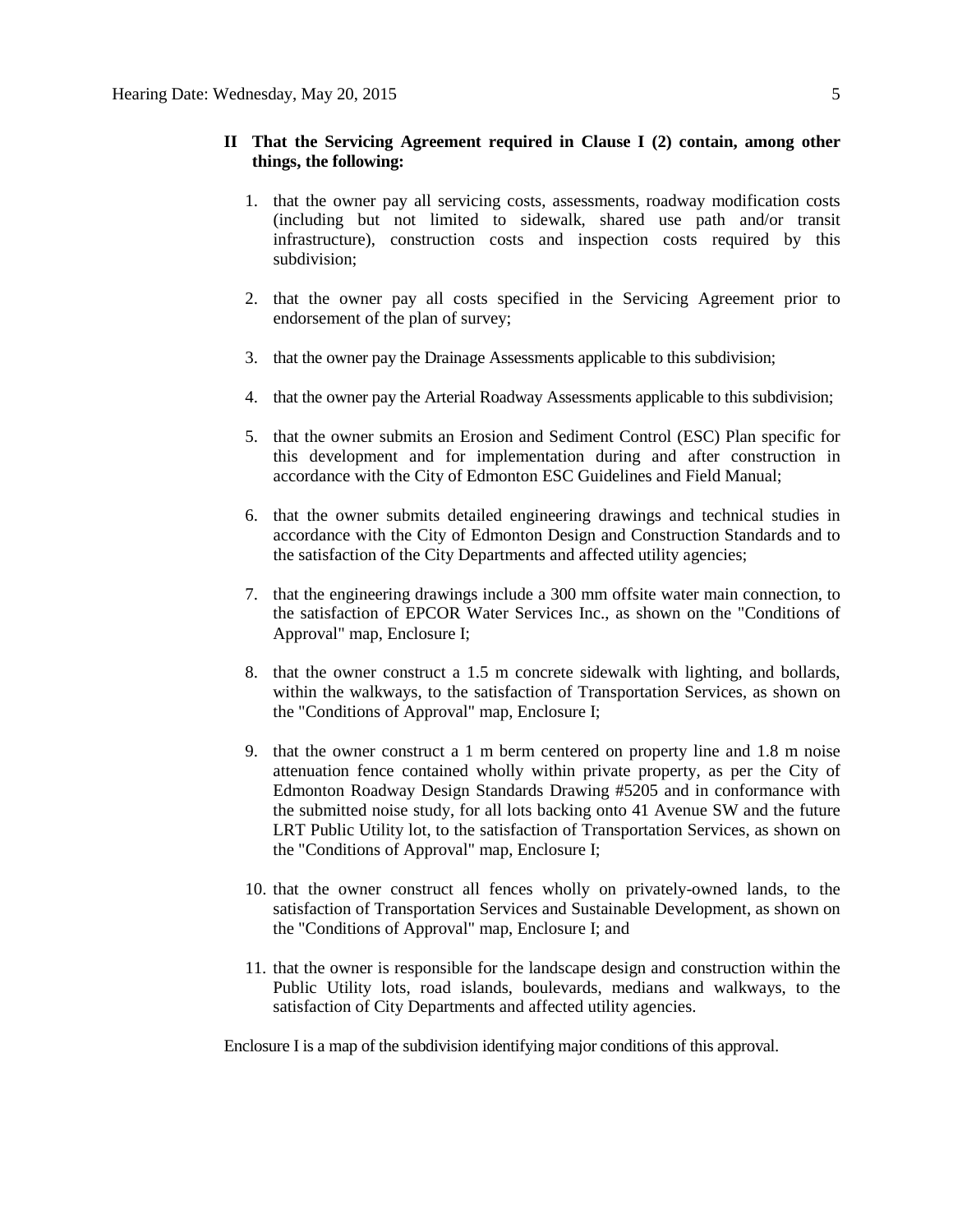### **II That the Servicing Agreement required in Clause I (2) contain, among other things, the following:**

- 1. that the owner pay all servicing costs, assessments, roadway modification costs (including but not limited to sidewalk, shared use path and/or transit infrastructure), construction costs and inspection costs required by this subdivision;
- 2. that the owner pay all costs specified in the Servicing Agreement prior to endorsement of the plan of survey;
- 3. that the owner pay the Drainage Assessments applicable to this subdivision;
- 4. that the owner pay the Arterial Roadway Assessments applicable to this subdivision;
- 5. that the owner submits an Erosion and Sediment Control (ESC) Plan specific for this development and for implementation during and after construction in accordance with the City of Edmonton ESC Guidelines and Field Manual;
- 6. that the owner submits detailed engineering drawings and technical studies in accordance with the City of Edmonton Design and Construction Standards and to the satisfaction of the City Departments and affected utility agencies;
- 7. that the engineering drawings include a 300 mm offsite water main connection, to the satisfaction of EPCOR Water Services Inc., as shown on the "Conditions of Approval" map, Enclosure I;
- 8. that the owner construct a 1.5 m concrete sidewalk with lighting, and bollards, within the walkways, to the satisfaction of Transportation Services, as shown on the "Conditions of Approval" map, Enclosure I;
- 9. that the owner construct a 1 m berm centered on property line and 1.8 m noise attenuation fence contained wholly within private property, as per the City of Edmonton Roadway Design Standards Drawing #5205 and in conformance with the submitted noise study, for all lots backing onto 41 Avenue SW and the future LRT Public Utility lot, to the satisfaction of Transportation Services, as shown on the "Conditions of Approval" map, Enclosure I;
- 10. that the owner construct all fences wholly on privately-owned lands, to the satisfaction of Transportation Services and Sustainable Development, as shown on the "Conditions of Approval" map, Enclosure I; and
- 11. that the owner is responsible for the landscape design and construction within the Public Utility lots, road islands, boulevards, medians and walkways, to the satisfaction of City Departments and affected utility agencies.

Enclosure I is a map of the subdivision identifying major conditions of this approval.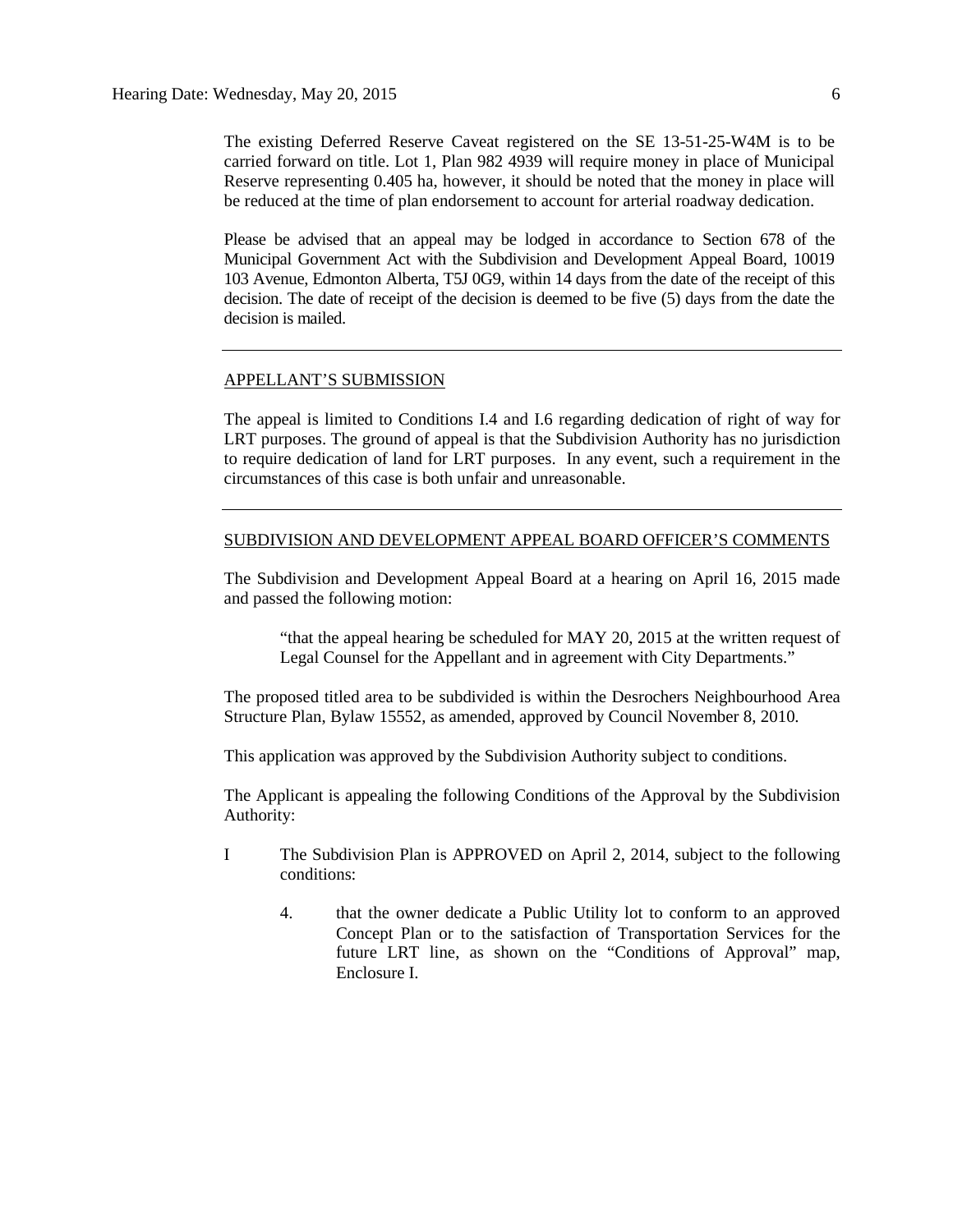The existing Deferred Reserve Caveat registered on the SE 13-51-25-W4M is to be carried forward on title. Lot 1, Plan 982 4939 will require money in place of Municipal Reserve representing 0.405 ha, however, it should be noted that the money in place will be reduced at the time of plan endorsement to account for arterial roadway dedication.

Please be advised that an appeal may be lodged in accordance to Section 678 of the Municipal Government Act with the Subdivision and Development Appeal Board, 10019 103 Avenue, Edmonton Alberta, T5J 0G9, within 14 days from the date of the receipt of this decision. The date of receipt of the decision is deemed to be five (5) days from the date the decision is mailed.

#### APPELLANT'S SUBMISSION

The appeal is limited to Conditions I.4 and I.6 regarding dedication of right of way for LRT purposes. The ground of appeal is that the Subdivision Authority has no jurisdiction to require dedication of land for LRT purposes. In any event, such a requirement in the circumstances of this case is both unfair and unreasonable.

#### SUBDIVISION AND DEVELOPMENT APPEAL BOARD OFFICER'S COMMENTS

The Subdivision and Development Appeal Board at a hearing on April 16, 2015 made and passed the following motion:

"that the appeal hearing be scheduled for MAY 20, 2015 at the written request of Legal Counsel for the Appellant and in agreement with City Departments."

The proposed titled area to be subdivided is within the Desrochers Neighbourhood Area Structure Plan, Bylaw 15552, as amended, approved by Council November 8, 2010.

This application was approved by the Subdivision Authority subject to conditions.

The Applicant is appealing the following Conditions of the Approval by the Subdivision Authority:

- I The Subdivision Plan is APPROVED on April 2, 2014, subject to the following conditions:
	- 4. that the owner dedicate a Public Utility lot to conform to an approved Concept Plan or to the satisfaction of Transportation Services for the future LRT line, as shown on the "Conditions of Approval" map, Enclosure I.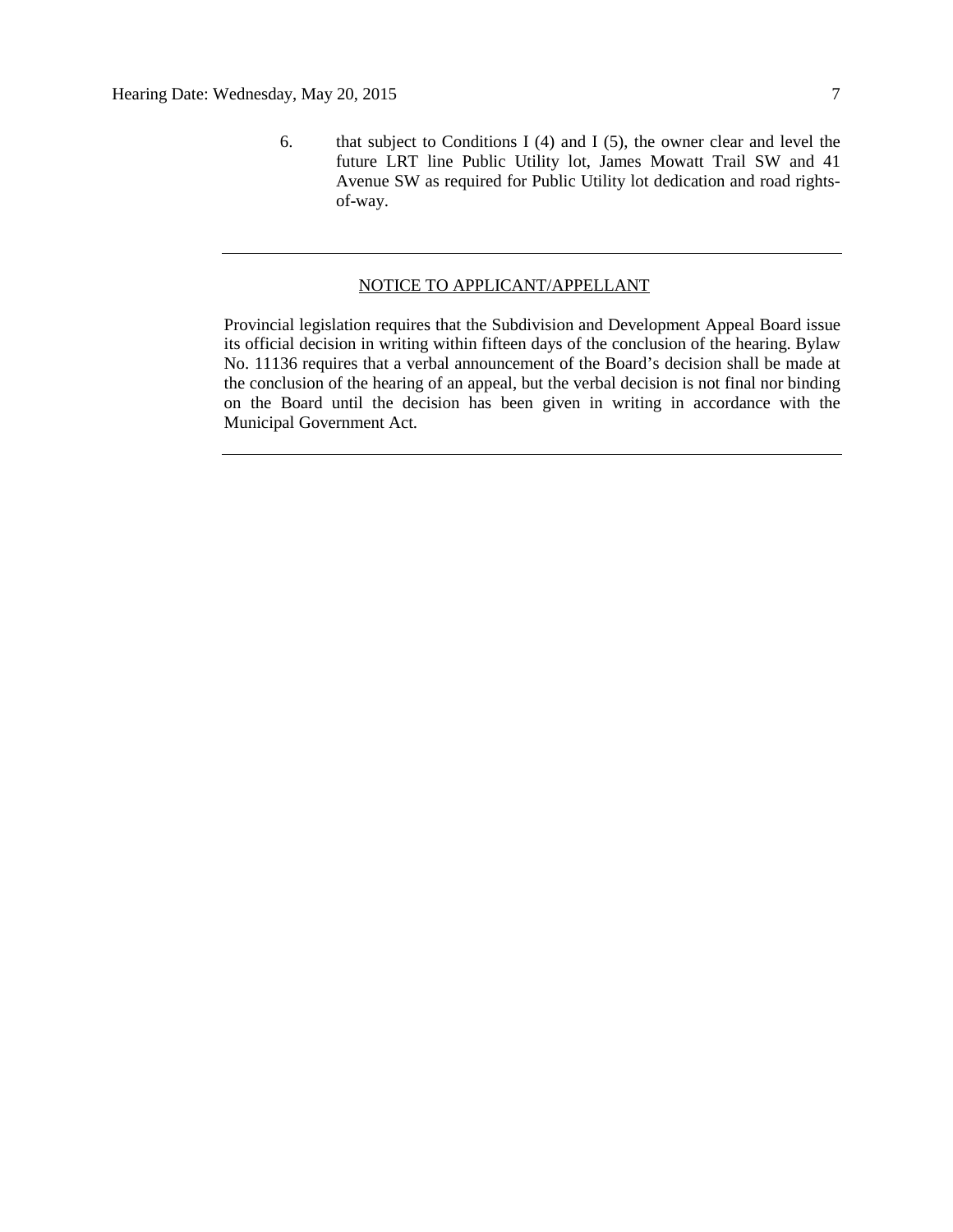6. that subject to Conditions I (4) and I (5), the owner clear and level the future LRT line Public Utility lot, James Mowatt Trail SW and 41 Avenue SW as required for Public Utility lot dedication and road rightsof-way.

### NOTICE TO APPLICANT/APPELLANT

Provincial legislation requires that the Subdivision and Development Appeal Board issue its official decision in writing within fifteen days of the conclusion of the hearing. Bylaw No. 11136 requires that a verbal announcement of the Board's decision shall be made at the conclusion of the hearing of an appeal, but the verbal decision is not final nor binding on the Board until the decision has been given in writing in accordance with the Municipal Government Act.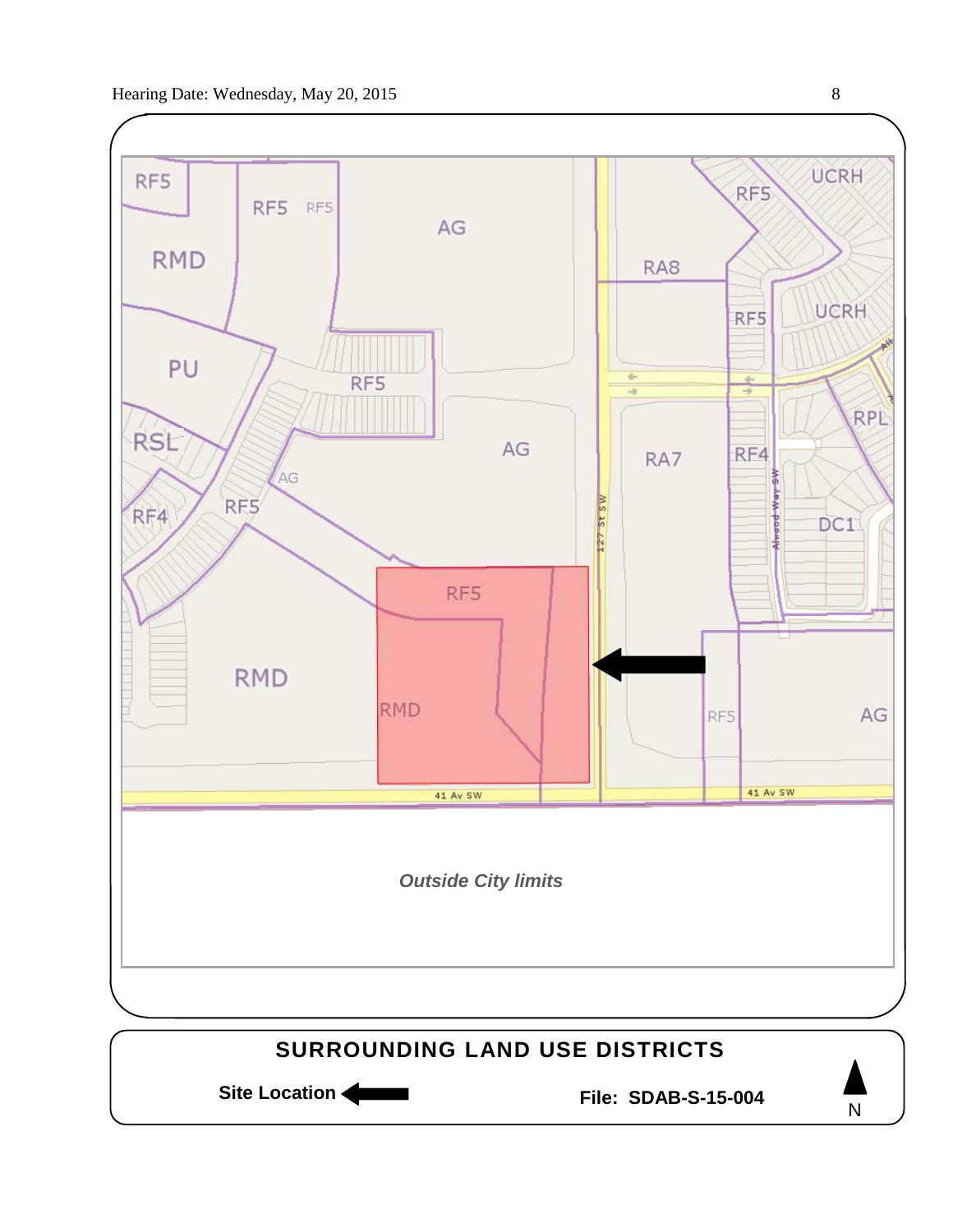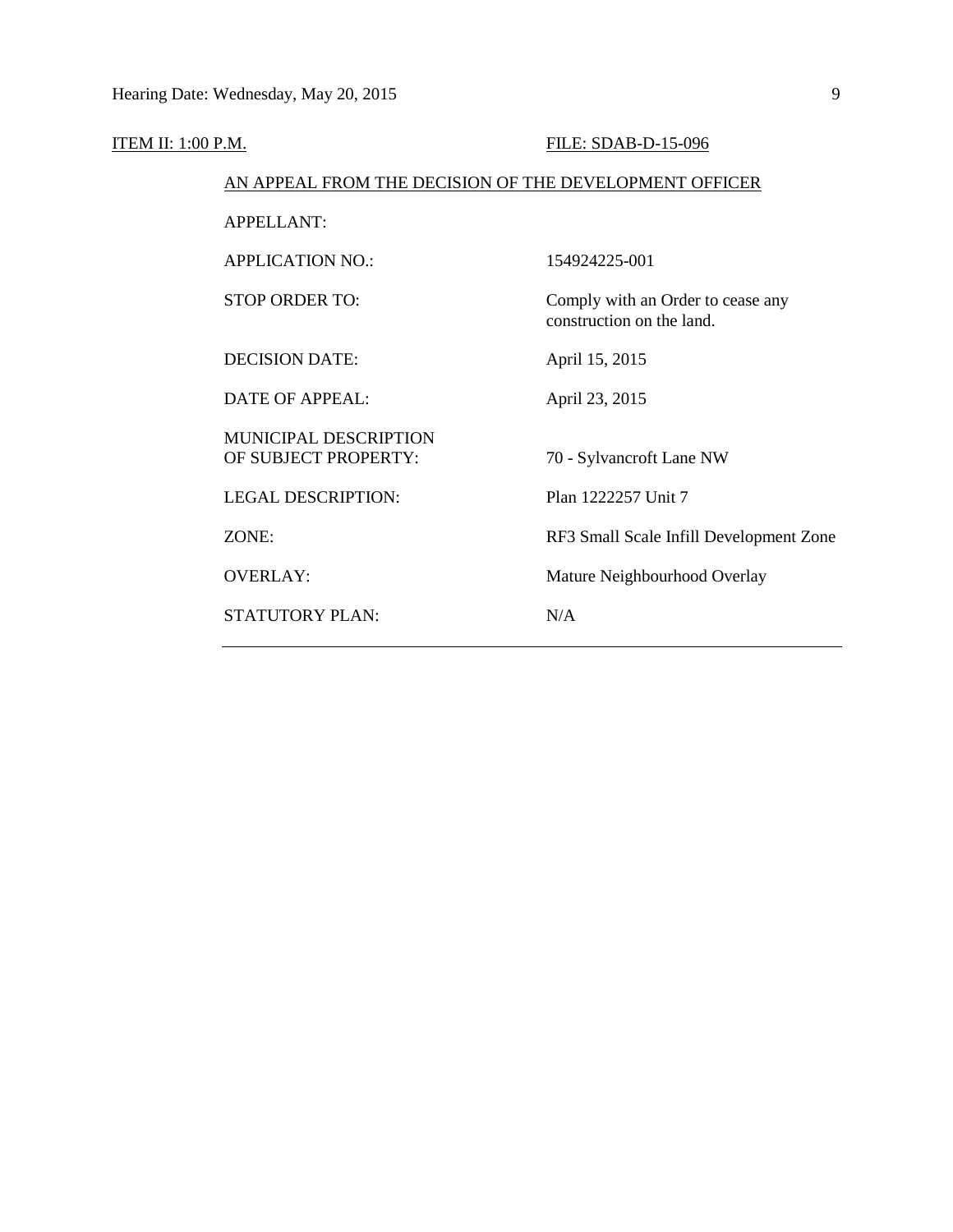| <u>ITEM II: 1:00 P.M.</u> |                                                        | FILE: SDAB-D-15-096                                            |  |  |
|---------------------------|--------------------------------------------------------|----------------------------------------------------------------|--|--|
|                           | AN APPEAL FROM THE DECISION OF THE DEVELOPMENT OFFICER |                                                                |  |  |
|                           | <b>APPELLANT:</b>                                      |                                                                |  |  |
|                           | <b>APPLICATION NO.:</b>                                | 154924225-001                                                  |  |  |
|                           | <b>STOP ORDER TO:</b>                                  | Comply with an Order to cease any<br>construction on the land. |  |  |
|                           | <b>DECISION DATE:</b>                                  | April 15, 2015                                                 |  |  |
|                           | DATE OF APPEAL:                                        | April 23, 2015                                                 |  |  |
|                           | <b>MUNICIPAL DESCRIPTION</b><br>OF SUBJECT PROPERTY:   | 70 - Sylvancroft Lane NW                                       |  |  |
|                           | <b>LEGAL DESCRIPTION:</b>                              | Plan 1222257 Unit 7                                            |  |  |
|                           | ZONE:                                                  | RF3 Small Scale Infill Development Zone                        |  |  |
|                           | <b>OVERLAY:</b>                                        | Mature Neighbourhood Overlay                                   |  |  |
|                           | <b>STATUTORY PLAN:</b>                                 | N/A                                                            |  |  |
|                           |                                                        |                                                                |  |  |

 $\overline{\phantom{0}}$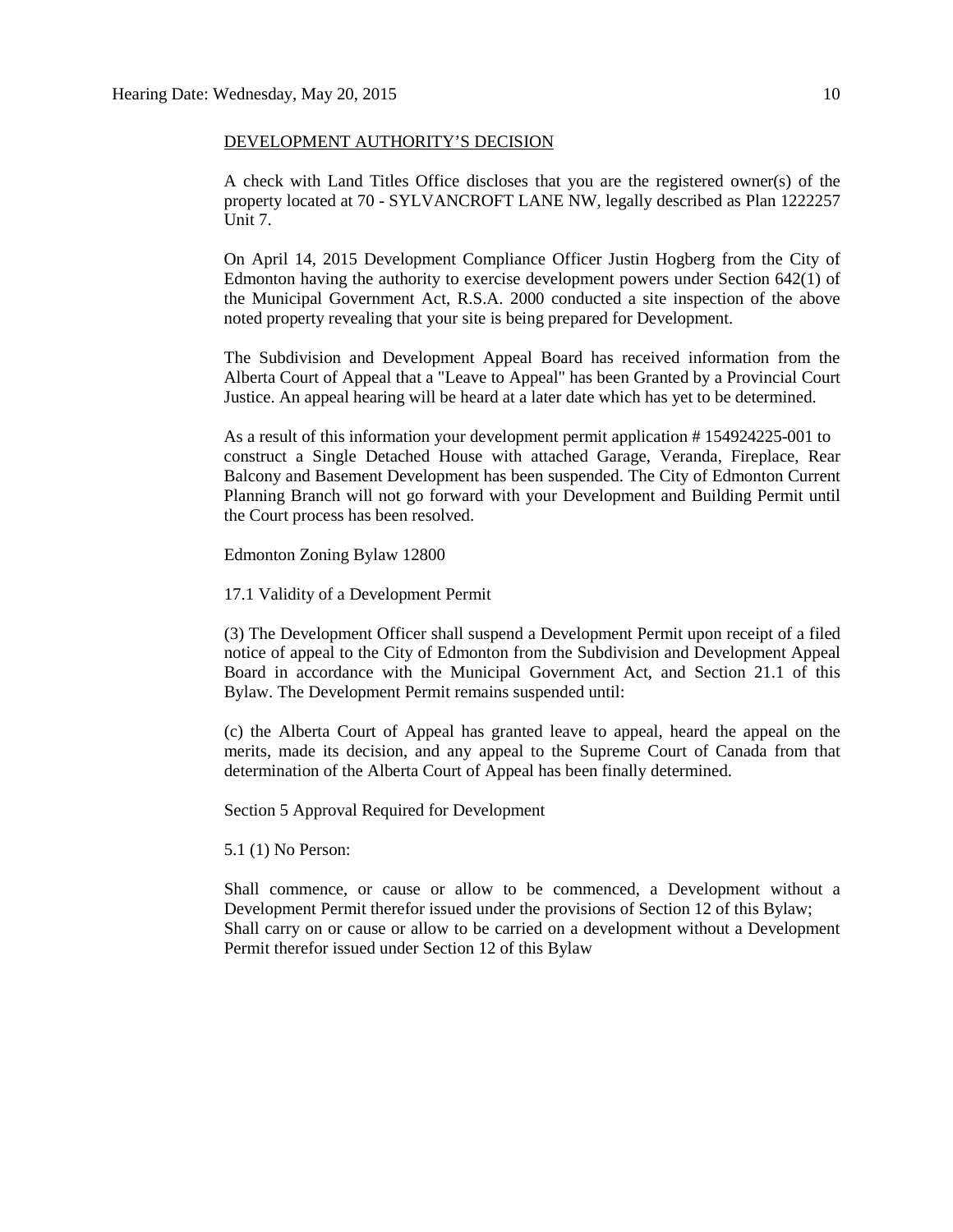#### DEVELOPMENT AUTHORITY'S DECISION

A check with Land Titles Office discloses that you are the registered owner(s) of the property located at 70 - SYLVANCROFT LANE NW, legally described as Plan 1222257 Unit 7.

On April 14, 2015 Development Compliance Officer Justin Hogberg from the City of Edmonton having the authority to exercise development powers under Section 642(1) of the Municipal Government Act, R.S.A. 2000 conducted a site inspection of the above noted property revealing that your site is being prepared for Development.

The Subdivision and Development Appeal Board has received information from the Alberta Court of Appeal that a "Leave to Appeal" has been Granted by a Provincial Court Justice. An appeal hearing will be heard at a later date which has yet to be determined.

As a result of this information your development permit application # 154924225-001 to construct a Single Detached House with attached Garage, Veranda, Fireplace, Rear Balcony and Basement Development has been suspended. The City of Edmonton Current Planning Branch will not go forward with your Development and Building Permit until the Court process has been resolved.

Edmonton Zoning Bylaw 12800

17.1 Validity of a Development Permit

(3) The Development Officer shall suspend a Development Permit upon receipt of a filed notice of appeal to the City of Edmonton from the Subdivision and Development Appeal Board in accordance with the Municipal Government Act, and Section 21.1 of this Bylaw. The Development Permit remains suspended until:

(c) the Alberta Court of Appeal has granted leave to appeal, heard the appeal on the merits, made its decision, and any appeal to the Supreme Court of Canada from that determination of the Alberta Court of Appeal has been finally determined.

Section 5 Approval Required for Development

5.1 (1) No Person:

Shall commence, or cause or allow to be commenced, a Development without a Development Permit therefor issued under the provisions of Section 12 of this Bylaw; Shall carry on or cause or allow to be carried on a development without a Development Permit therefor issued under Section 12 of this Bylaw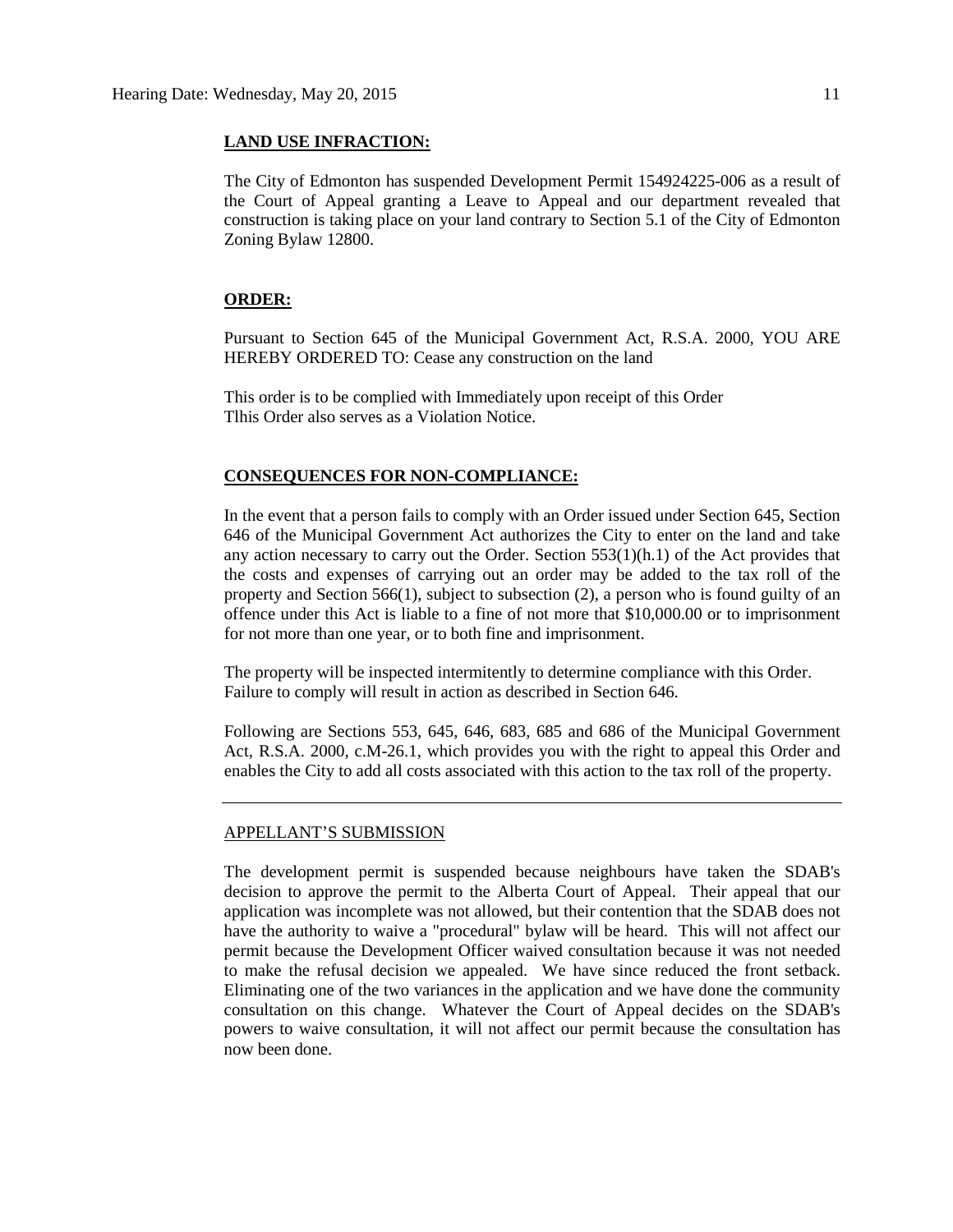#### **LAND USE INFRACTION:**

The City of Edmonton has suspended Development Permit 154924225-006 as a result of the Court of Appeal granting a Leave to Appeal and our department revealed that construction is taking place on your land contrary to Section 5.1 of the City of Edmonton Zoning Bylaw 12800.

#### **ORDER:**

Pursuant to Section 645 of the Municipal Government Act, R.S.A. 2000, YOU ARE HEREBY ORDERED TO: Cease any construction on the land

This order is to be complied with Immediately upon receipt of this Order Tlhis Order also serves as a Violation Notice.

#### **CONSEQUENCES FOR NON-COMPLIANCE:**

In the event that a person fails to comply with an Order issued under Section 645, Section 646 of the Municipal Government Act authorizes the City to enter on the land and take any action necessary to carry out the Order. Section  $553(1)(h.1)$  of the Act provides that the costs and expenses of carrying out an order may be added to the tax roll of the property and Section 566(1), subject to subsection (2), a person who is found guilty of an offence under this Act is liable to a fine of not more that \$10,000.00 or to imprisonment for not more than one year, or to both fine and imprisonment.

The property will be inspected intermitently to determine compliance with this Order. Failure to comply will result in action as described in Section 646.

Following are Sections 553, 645, 646, 683, 685 and 686 of the Municipal Government Act, R.S.A. 2000, c.M-26.1, which provides you with the right to appeal this Order and enables the City to add all costs associated with this action to the tax roll of the property.

#### APPELLANT'S SUBMISSION

The development permit is suspended because neighbours have taken the SDAB's decision to approve the permit to the Alberta Court of Appeal. Their appeal that our application was incomplete was not allowed, but their contention that the SDAB does not have the authority to waive a "procedural" bylaw will be heard. This will not affect our permit because the Development Officer waived consultation because it was not needed to make the refusal decision we appealed. We have since reduced the front setback. Eliminating one of the two variances in the application and we have done the community consultation on this change. Whatever the Court of Appeal decides on the SDAB's powers to waive consultation, it will not affect our permit because the consultation has now been done.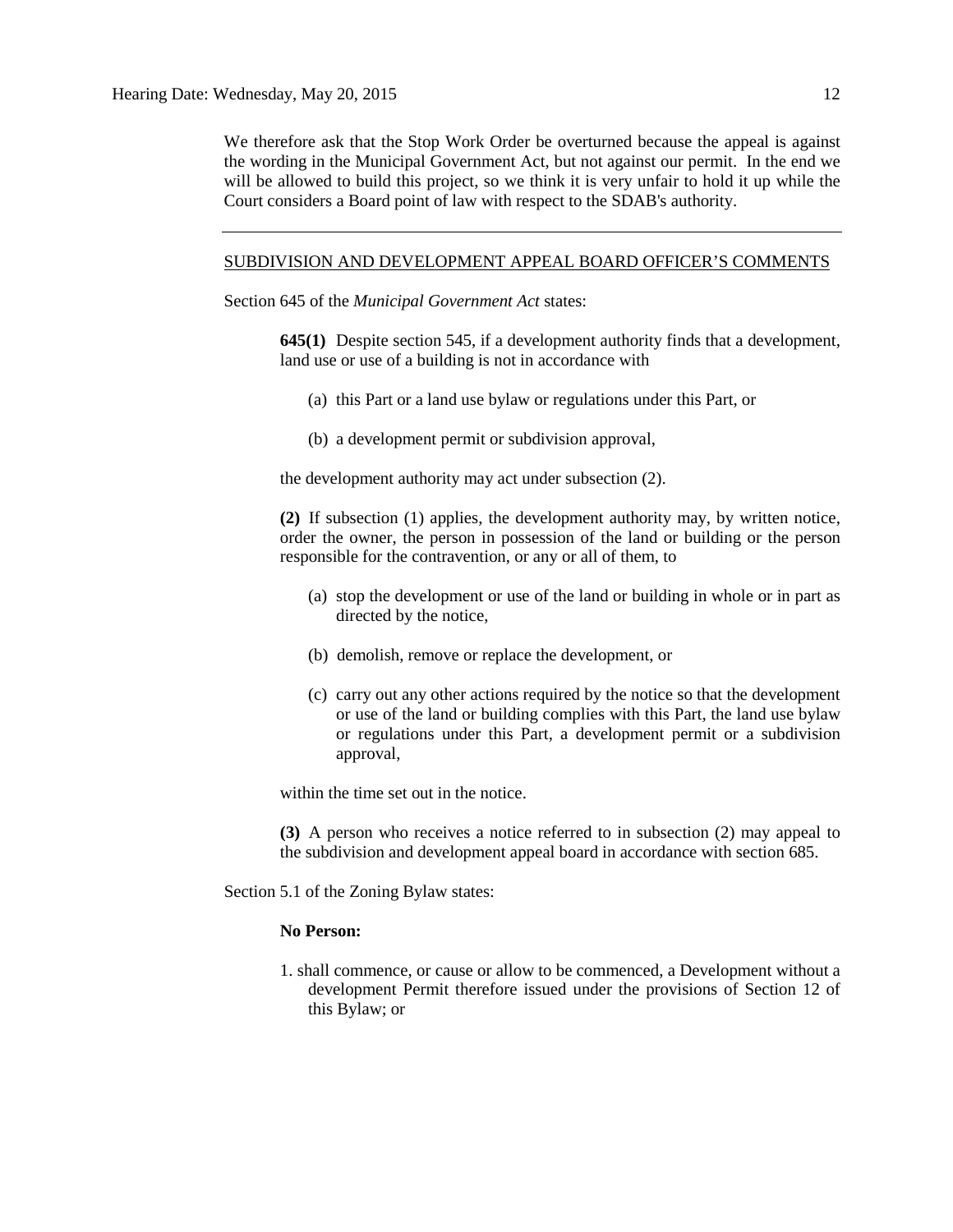We therefore ask that the Stop Work Order be overturned because the appeal is against the wording in the Municipal Government Act, but not against our permit. In the end we will be allowed to build this project, so we think it is very unfair to hold it up while the Court considers a Board point of law with respect to the SDAB's authority.

#### SUBDIVISION AND DEVELOPMENT APPEAL BOARD OFFICER'S COMMENTS

Section 645 of the *Municipal Government Act* states:

**645(1)** Despite section 545, if a development authority finds that a development, land use or use of a building is not in accordance with

- (a) this Part or a land use bylaw or regulations under this Part, or
- (b) a development permit or subdivision approval,

the development authority may act under subsection (2).

**(2)** If subsection (1) applies, the development authority may, by written notice, order the owner, the person in possession of the land or building or the person responsible for the contravention, or any or all of them, to

- (a) stop the development or use of the land or building in whole or in part as directed by the notice,
- (b) demolish, remove or replace the development, or
- (c) carry out any other actions required by the notice so that the development or use of the land or building complies with this Part, the land use bylaw or regulations under this Part, a development permit or a subdivision approval,

within the time set out in the notice.

**(3)** A person who receives a notice referred to in subsection (2) may appeal to the subdivision and development appeal board in accordance with section 685.

Section 5.1 of the Zoning Bylaw states:

#### **No Person:**

1. shall commence, or cause or allow to be commenced, a Development without a development Permit therefore issued under the provisions of Section 12 of this Bylaw; or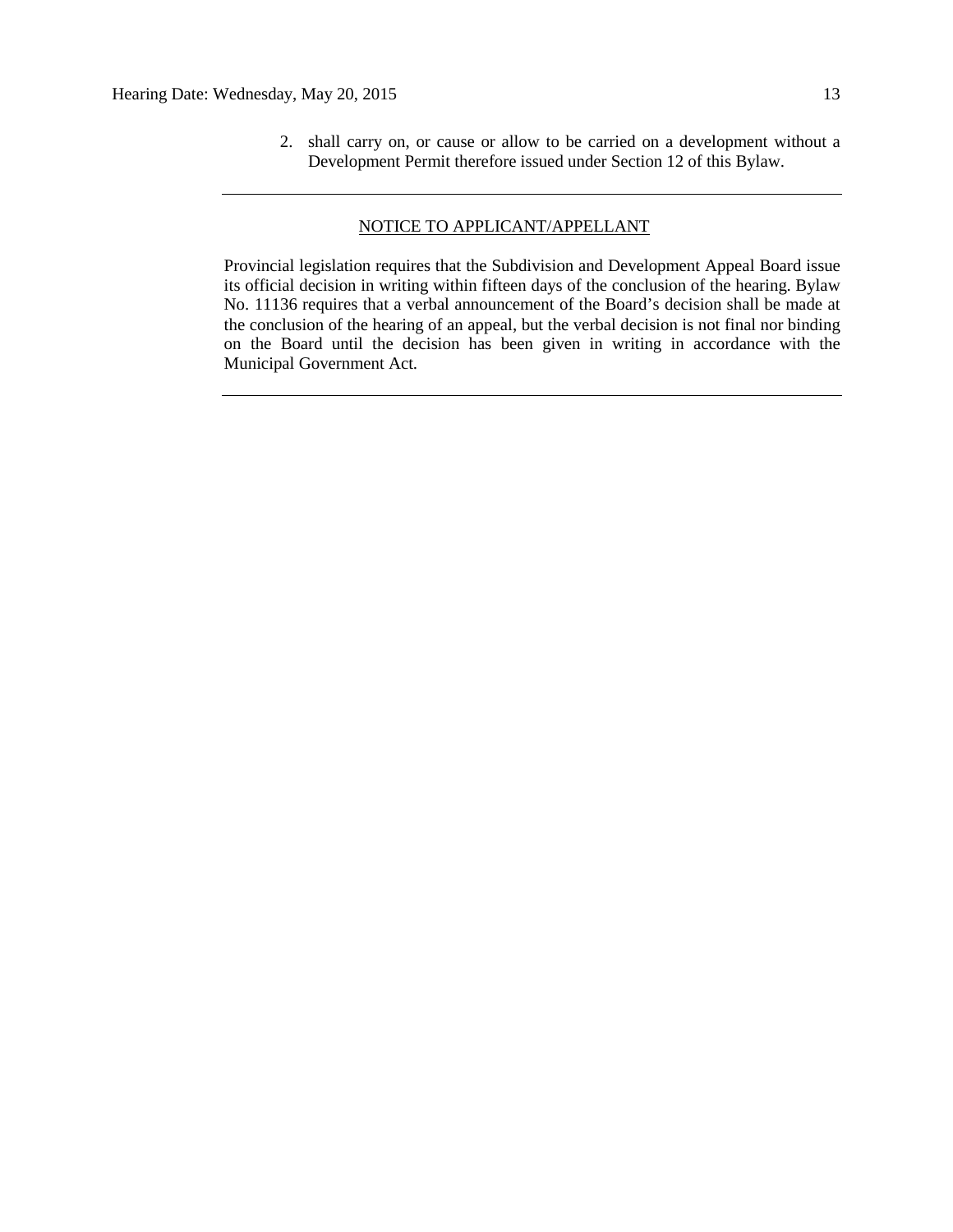2. shall carry on, or cause or allow to be carried on a development without a Development Permit therefore issued under Section 12 of this Bylaw.

#### NOTICE TO APPLICANT/APPELLANT

Provincial legislation requires that the Subdivision and Development Appeal Board issue its official decision in writing within fifteen days of the conclusion of the hearing. Bylaw No. 11136 requires that a verbal announcement of the Board's decision shall be made at the conclusion of the hearing of an appeal, but the verbal decision is not final nor binding on the Board until the decision has been given in writing in accordance with the Municipal Government Act.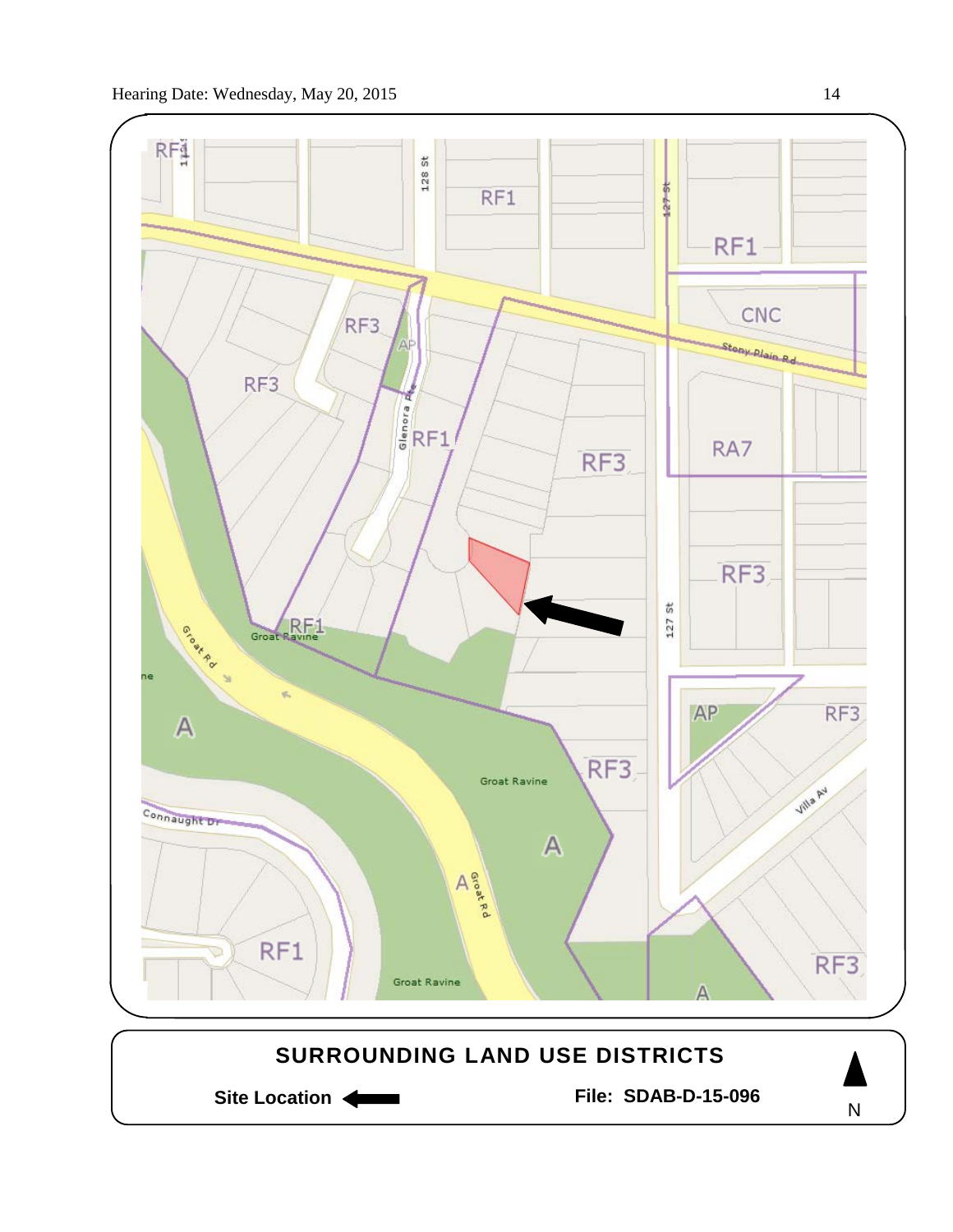